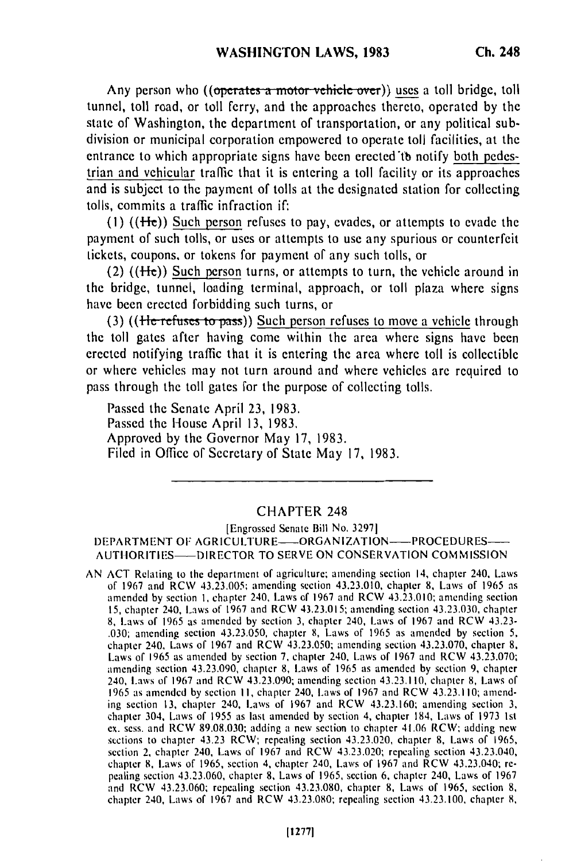Any person who ((operates a motor vehicle over)) uses a toll bridge, toll tunnel, toll road, or toll ferry, and the approaches thereto, operated **by** the state of Washington, the department of transportation, or any political subdivision or municipal corporation empowered to operate toll facilities, at the entrance to which appropriate signs have been erected'tb notify both pedestrian and vehicular traffic that it is entering a toll facility or its approaches and is subject to the payment of tolls at the designated station for collecting tolls, commits a traffic infraction **if:**

**(I)** ((fi)) Such person refuses to pay, evades, or attempts to evade the payment of such tolls, or uses or attempts to use any spurious or counterfeit tickets, coupons, or tokens for payment of any such tolls, or

(2) **((I-e))** Such person turns, or attempts to turn, the vehicle around in the bridge, tunnel, loading terminal, approach, or toll plaza where signs have been erected forbidding such turns, or

(3) ((He refuses to pass)) Such person refuses to move a vehicle through the toll gates after having come within the area where signs have been erected notifying traffic that it is entering the area where toll is collectible or where vehicles may not turn around and where vehicles are required to pass through the toll gates for the purpose of collecting tolls.

Passed the Senate April **23, 1983.** Passed the House April **13, 1983,** Approved **by** the Governor May **17, 1983.** Filed in Office of Secretary of State May **17, 1983.**

## CHAPTER 248

[Engrossed Senate Bill No. **32971** DEPARTMENT OF AGRICULTURE-ORGANIZATION--PROCEDURES-**AUTIIORITIES-** DIRECTOR TO SERVE **ON CONSERVATION COMMISSION**

**AN ACT** Relating to **the** department of agriculture; amending section 14, chapter 240, Laws of **1967** and RCW 43.23.005; amending section 43.23.010, chapter **8,** Laws of **1965** as amended **by** section **I,** chapter 240, Laws of **1967** and RCW 43.23.010; amending section **15,** chapter 240, Laws of **1967** and RCW 43.23.015; amending section 43.23.030, chapter **8,** Laws of **1965** as amended **by** section **3,** chapter 240, Laws of **1967** and RCW 43.23- **.030;** amending section 43.23.050, chapter **8,** Laws of **1965** as amended **by** section **5,** chapter 240, Laws of **1967** and RCW 43.23.050; amending section **43.23.070,** chapter **8,** Laws of **1965** as amended **by** section **7,** chapter 240, Laws of **1967** and RCW **43.23.070;** amending section 43.23.090, chapter **8,** Laws of **1965** as amended **by** section **9,** chapter 240, Laws of **1967** and RCW 43.23.090; amending section 43.23.110, chapter **8,** Laws of **1965** as amended **by** section **II,** chapter 240, Laws of **1967** and RCW 43.23.110; amending section **13,** chapter 240, Laws of **1967** and RCW 43.23.160; amending section **3,** chapter 304, Laws of **1955** as last amended **by** section 4, chapter 184, Laws of **1973 Ist ex.** sess. and RCW **89.08.030;** adding a new section to chapter 41.06 RCW; adding new sections to chapter 43.23 RCW; repealing section 43.23.020, chapter **8,** Laws of **1965,** section 2, chapter 240, Laws of **1967** and RCW 43.23.020; repealing section 43.23.040, chapter **8,** Laws of **1965,** section 4, chapter 240, Laws of **1967** and RCW 43.23.040; **re**pealing section 43.23.060, chapter **8,** Laws of **1965,** section **6,** chapter 240, Laws of **1967** and RCW 43.23.060; repealing section **43.23.080,** chapter **8,** Laws of **1965,** section **8,** chapter 240, Laws of **1967** and RCW **43.23.080;** repealing section 43.23.100, chapter **8,**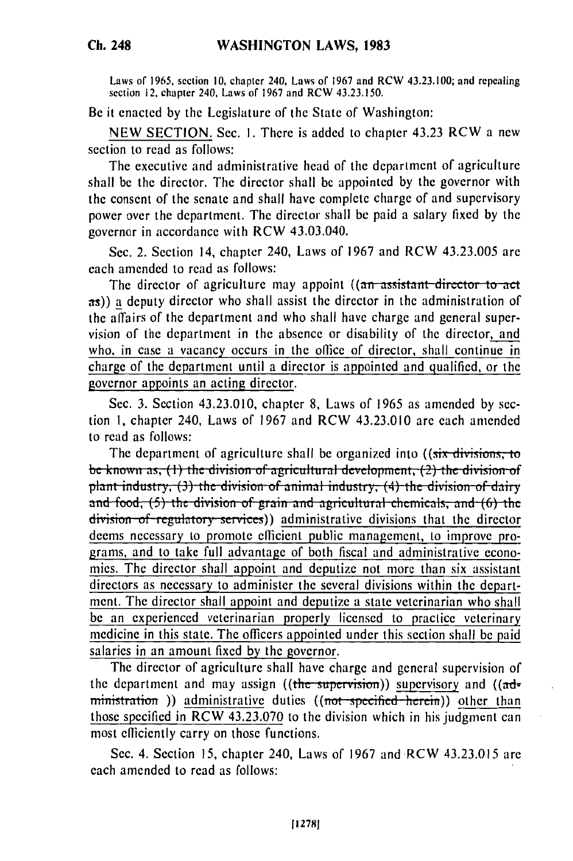**Ch. 248**

Laws **of** 1965, section **10,** chapter 240, Laws of **1967** and RCW 43.23.100; and repealing section 12, chapter 240, Laws of **1967** and RCW 43.23.150.

Be it enacted **by** the Legislature **of** the State of Washington:

**NEW SECTION.** Sec. **I.** There is added to chapter 43.23 RCW a new section to read as follows:

The executive and administrative head of the department of agriculture shall be the director. The director shall be appointed **by** the governor with the consent of the senate and shall have complete charge of and supervisory power over the department. The director shall **be** paid a salary fixed **by** the governor in accordance with RCW 43.03.040.

Sec. 2. Section 14, chapter 240, Laws of **1967** and RCW 43.23.005 are each amended to read as follows:

The director of agriculture may appoint ((an assistant director to act **as))** a deputy director who shall assist the director in the administration of the affairs of the department and who shall have charge and general supervision of the department in the absence or disability of the director, and who, in case a vacancy occurs in the office of director, shall continue in charge of the department until a director is appointed and qualified, or the governor appoints an acting director.

Sec. 3. Section 43.23.010, chapter 8, Laws of 1965 as amended by section 1, chapter 240, Laws of 1967 and RCW 43.23.010 are each amended to read as follows:

The department of agriculture shall be organized into ((six divisions, to be known as, (1) the division of agricultural development, (2) the division of be known as, (1) the division of agricultural development, (2) the division of<br>plant industry (3) the division of animal industry (4) the division of dairy and food, (5) the division of grain and agricultural chemicals, and (6) the division of regulatory services)) administrative divisions that the director deems necessary to promote efficient public management, to improve programs, and to take full advantage of both fiscal and administrative economies. The director shall appoint and deputize not more than six assistant directors as necessary to administer the several divisions within the department. The director shall appoint and deputize a state veterinarian who shall be an experienced veterinarian properly licensed to practice veterinary medicine in this state. The officers appointed under this section shall be paid salaries in an amount fixed by the governor.

The director of agriculture shall have charge and general supervision of the department and may assign ((the supervision)) supervisory and ((administration )) administrative duties ((not specified herein)) other than those specified in RCW 43.23.070 to the division which in his judgment can most efficiently carry on those functions.

Sec. 4. Section 15, chapter 240, Laws of 1967 and RCW 43.23.015 are each amended to read as follows: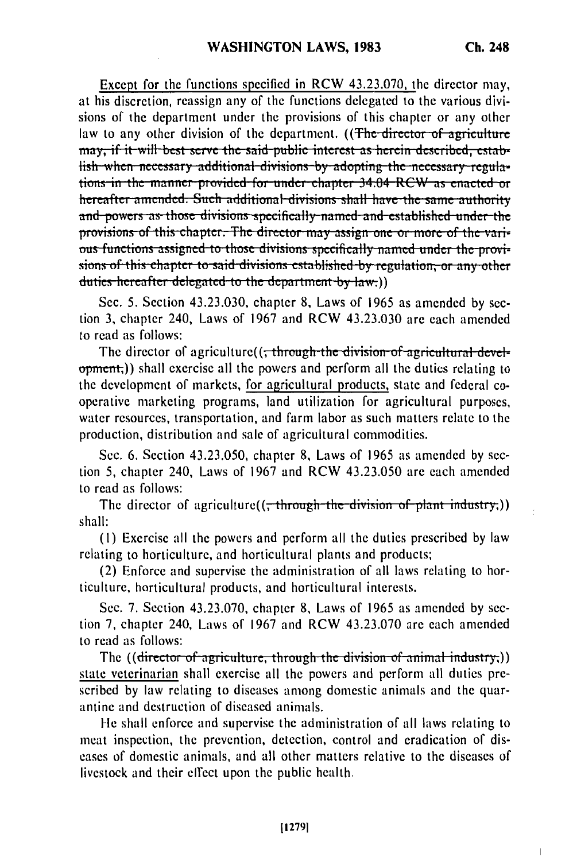Except for the functions specified in RCW 43.23.070, the director may, at his discretion, reassign any of the functions delegated to the various divisions of the department under the provisions of this chapter or any other law to any other division of the department. ((The director of agriculture may, if it will best serve the said public interest as herein described, establish when necessary additional divisions by adopting the necessary regulations in the manner provided for under chapter 34.04 RCW as enacted or hereafter amended. Such additional divisions shall have the same authority and powers as those divisions specifically named and established under the provisions of this chapter. The director may assign one or more of the various functions assigned to those divisions specifically named under the provisions of this chapter to said divisions established by regulation, or any other duties hereafter delegated to the department by law.))

Sec. 5. Section 43.23.030, chapter 8, Laws of 1965 as amended by section 3, chapter 240, Laws of 1967 and RCW 43.23.030 are each amended to read as follows:

The director of agriculture((; through the division of agricultural development;)) shall exercise all the powers and perform all the duties relating to the development of markets, for agricultural products, state and federal cooperative marketing programs, land utilization for agricultural purposes, water resources, transportation, and farm labor as such matters relate to the production, distribution and sale of agricultural commodities.

Sec. 6. Section 43.23.050, chapter 8, Laws of 1965 as amended by section 5, chapter 240, Laws of 1967 and RCW 43.23.050 are each amended to read as follows:

The director of agriculture( $(\frac{1}{x}$ through the division of plant industry;)) shall:

(1) Exercise all the powers and perform all the duties prescribed by law relating to horticulture, and horticultural plants and products;

(2) Enforce and supervise the administration of all laws relating to horticulture, horticultural products, and horticultural interests.

Sec. 7. Section 43.23.070, chapter 8, Laws of 1965 as amended by section 7, chapter 240, Laws of 1967 and RCW 43.23.070 are each amended to read as follows:

The ((director of agriculture, through the division of animal industry,)) state veterinarian shall exercise all the powers and perform all duties prescribed by law relating to diseases among domestic animals and the quarantine and destruction of diseased animals.

He shall enforce and supervise the administration of all laws relating to meat inspection, the prevention, detection, control and eradication of diseases of domestic animals, and all other matters relative to the diseases of livestock and their effect upon the public health.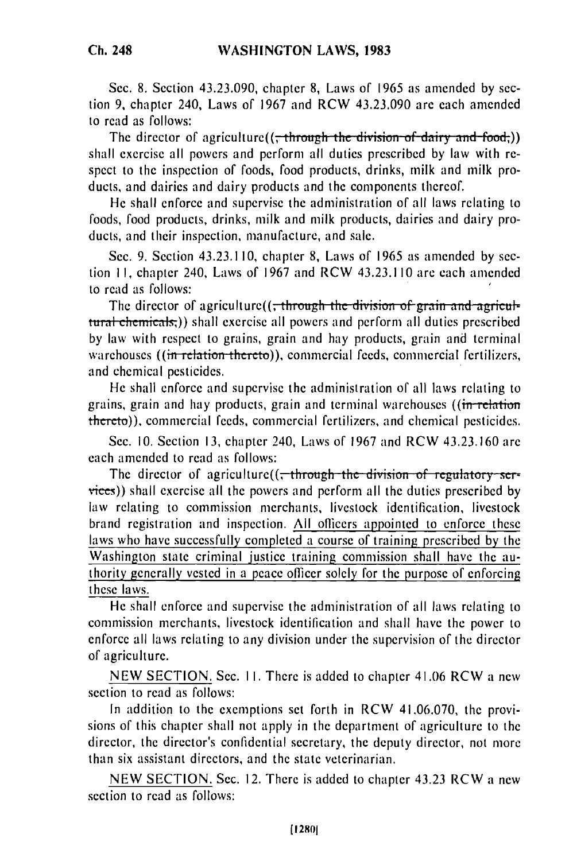Sec. 8. Section 43.23.090, chapter 8, Laws of 1965 as amended by section **9,** chapter 240, Laws of 1967 and RCW 43.23.090 are each amended to read as follows:

The director of agriculture( $($ , through the division of dairy and food,)) shall exercise all powers and perform all duties prescribed by law with respect to the inspection of foods, food products, drinks, milk and milk products, and dairies and dairy products and the components thereof.

He shall enforce and supervise the administration of all laws relating to foods, food products, drinks, milk and milk products, dairies and dairy products, and their inspection, manufacture, and sale.

Sec. 9. Section 43.23.110, chapter 8, Laws of 1965 as amended by section **11,** chapter 240, Laws of 1967 and RCW 43.23.110 are each amended to read as follows:

The director of agriculture((<del>, through the division of grain and agricul-</del> tural chemicals;)) shall exercise all powers and perform all duties prescribed by law with respect to grains, grain and hay products, grain and terminal warehouses ((in relation thereto)), commercial feeds, commercial fertilizers, and chemical pesticides.

He shall enforce and supervise the administration of all laws relating to grains, grain and hay products, grain and terminal warehouses ((in relation thereto)), commercial feeds, commercial fertilizers, and chemical pesticides.

Sec. 10. Section 13, chapter 240, Laws of 1967 and RCW 43.23.160 are each amended to read as follows:

The director of agriculture((<del>, through the division of regulatory ser-</del> vices)) shall exercise all the powers and perform all the duties prescribed by law relating to commission merchants, livestock identification, livestock brand registration and inspection. All officers appointed to enforce these laws who have successfully completed a course of training prescribed by the Washington state criminal justice training commission shall have the authority generally vested in a peace officer solely for the purpose of enforcing these laws.

He shall enforce and supervise the administration of all laws relating to commission merchants, livestock identification and shall have the power to enforce all laws relating to any division under the supervision of the director of agriculture.

NEW SECTION. Sec. **I1.** There is added to chapter 41.06 RCW a new section to read as follows:

In addition to the exemptions set forth in RCW 41.06.070, the provisions of this chapter shall not apply in the department of agriculture to the director, the director's confidential secretary, the deputy director, not more than six assistant directors, and the state veterinarian.

NEW SECTION. Sec. 12. There is added to chapter 43.23 RCW a new section to read as follows:

**(12801**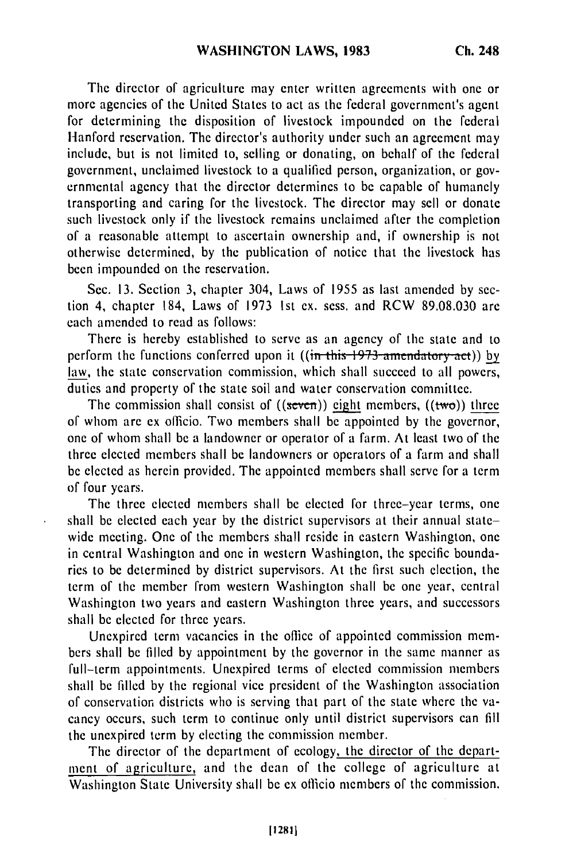**The** director of agriculture may enter written agreements with one or more agencies of the United States to act as the federal government's agent for determining the disposition of livestock impounded on the federal Hanford reservation. The director's authority under such an agreement may include, but is not limited to, selling or donating, on behalf of the federal government, unclaimed livestock to a qualified person, organization, or governmental agency that the director determines to be capable of humanely transporting and caring for the livestock. The director may sell or donate such livestock only if the livestock remains unclaimed after the completion of a reasonable attempt to ascertain ownership and, if ownership is not otherwise determined, by the publication of notice that the livestock has been impounded on the reservation.

Sec. 13. Section 3, chapter 304, Laws of 1955 as last amended by section 4, chapter 184, Laws of 1973 1st ex. sess. and RCW 89.08.030 are each amended to read as follows:

There is hereby established to serve as an agency of the state and to perform the functions conferred upon it ((in this 1973 amendatory act)) by law, the state conservation commission, which shall succeed to all powers, duties and property of the state soil and water conservation committee.

The commission shall consist of  $((\text{seven}))$  eight members,  $((\text{two}))$  three of whom are ex officio. Two members shall be appointed by the governor, one of whom shall be a landowner or operator of a farm. At least two of the three elected members shall be landowners or operators of a farm and shall be elected as herein provided. The appointed members shall serve for a term of four years.

The three elected members shall be elected for three-year terms, one shall be elected each year by the district supervisors at their annual statewide meeting. One of the members shall reside in eastern Washington, one in central Washington and one in western Washington, the specific boundaries to be determined by district supervisors. At the first such election, the term of the member from western Washington shall be one year, central Washington two years and eastern Washington three years, and successors shall be elected for three years.

Unexpired term vacancies in the office of appointed commission members shall be filled by appointment by the governor in the same manner as full-term appointments. Unexpired terms of elected commission members shall be filled by the regional vice president of the Washington association of conservation districts who is serving that part of the state where the vacancy occurs, such term to continue only until district supervisors can fill the unexpired term by electing the commission member.

The director of the department of ecology, the director of the department of agriculture, and the dean of the college of agriculture at Washington State University shall be ex officio members of the commission.